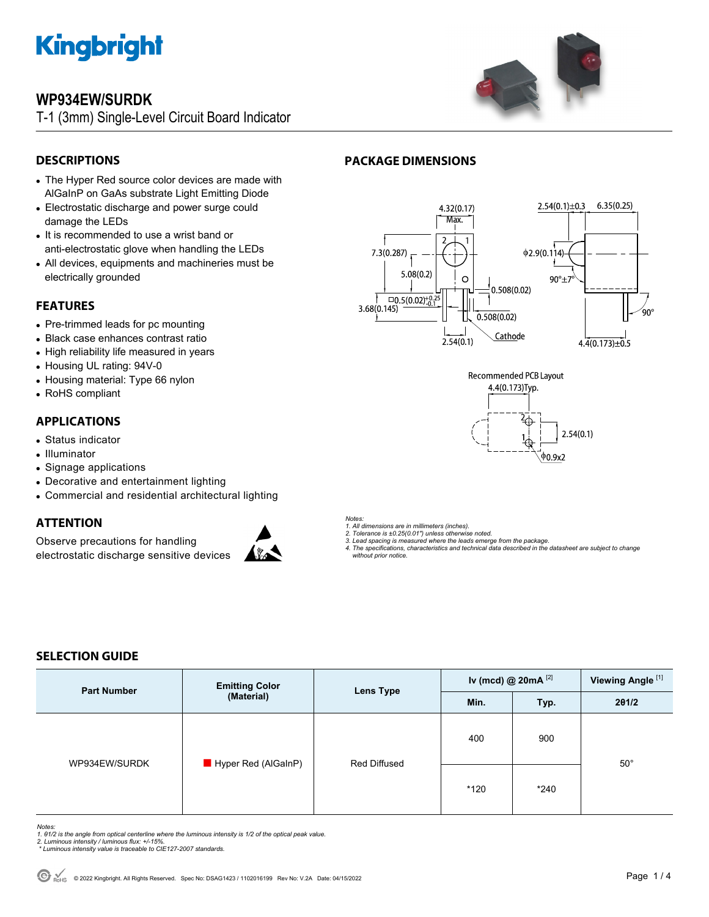

# **WP934EW/SURDK**

T-1 (3mm) Single-Level Circuit Board Indicator



## **DESCRIPTIONS**

- The Hyper Red source color devices are made with AlGaInP on GaAs substrate Light Emitting Diode
- Electrostatic discharge and power surge could damage the LEDs
- It is recommended to use a wrist band or anti-electrostatic glove when handling the LEDs
- All devices, equipments and machineries must be electrically grounded

### **FEATURES**

- Pre-trimmed leads for pc mounting
- Black case enhances contrast ratio
- High reliability life measured in years
- Housing UL rating: 94V-0
- Housing material: Type 66 nylon
- RoHS compliant

## **APPLICATIONS**

- Status indicator
- Illuminator
- Signage applications
- Decorative and entertainment lighting
- Commercial and residential architectural lighting

## **ATTENTION**

Observe precautions for handling electrostatic discharge sensitive devices



### *Notes:*

*1. All dimensions are in millimeters (inches).* 

- *2. Tolerance is ±0.25(0.01") unless otherwise noted. 3. Lead spacing is measured where the leads emerge from the package.*
- *4. The specifications, characteristics and technical data described in the datasheet are subject to change*
- *without prior notice.*

## **SELECTION GUIDE**

| <b>Part Number</b> | <b>Emitting Color</b><br>(Material) | <b>Lens Type</b> | Iv (mcd) @ $20mA$ <sup>[2]</sup> |        | Viewing Angle <sup>[1]</sup> |
|--------------------|-------------------------------------|------------------|----------------------------------|--------|------------------------------|
|                    |                                     |                  | Min.                             | Typ.   | 201/2                        |
| WP934EW/SURDK      | Hyper Red (AlGaInP)                 | Red Diffused     | 400                              | 900    |                              |
|                    |                                     |                  | *120                             | $*240$ | $50^{\circ}$                 |

### *Notes:*

- 1. 01/2 is the angle from optical centerline where the luminous intensity is 1/2 of the optical peak value.<br>2. Luminous intensity / luminous flux: +/-15%.<br>\* Luminous intensity value is traceable to CIE127-2007 standards.
- 
- 



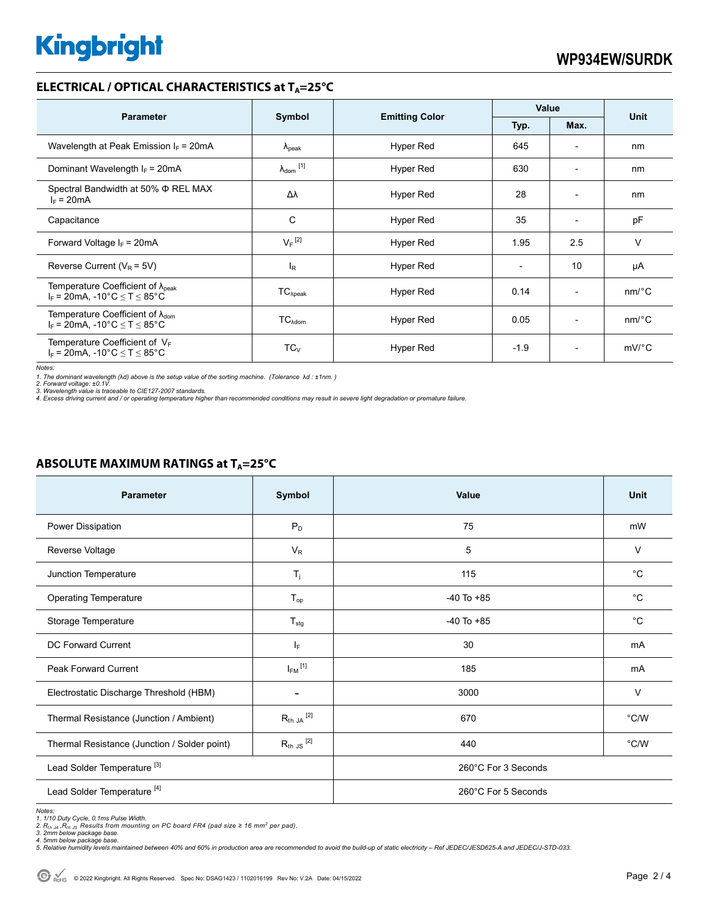# **Kingbright**

### **ELECTRICAL / OPTICAL CHARACTERISTICS at T<sub>A</sub>=25°C**

|                                                                                             | Symbol                     |                       | Value                    |                          |                       |
|---------------------------------------------------------------------------------------------|----------------------------|-----------------------|--------------------------|--------------------------|-----------------------|
| <b>Parameter</b>                                                                            |                            | <b>Emitting Color</b> | Typ.                     | Max.                     | <b>Unit</b>           |
| Wavelength at Peak Emission $I_F$ = 20mA                                                    | $\Lambda_{\rm peak}$       | Hyper Red             | 645                      | $\overline{\phantom{a}}$ | nm                    |
| Dominant Wavelength $I_F = 20 \text{mA}$                                                    | $\lambda_{\text{dom}}$ [1] | Hyper Red             | 630                      | $\overline{\phantom{a}}$ | nm                    |
| Spectral Bandwidth at 50% $\Phi$ REL MAX<br>$I_F = 20mA$                                    | Δλ                         | Hyper Red             | 28                       | $\overline{\phantom{a}}$ | nm                    |
| Capacitance                                                                                 | C                          | Hyper Red             | 35                       | $\overline{\phantom{a}}$ | pF                    |
| Forward Voltage $I_F = 20mA$                                                                | $V_F$ <sup>[2]</sup>       | Hyper Red             | 1.95                     | 2.5                      | $\vee$                |
| Reverse Current ( $V_R$ = 5V)                                                               | $I_R$                      | Hyper Red             | $\overline{\phantom{a}}$ | 10                       | μA                    |
| Temperature Coefficient of $\lambda_{\text{peak}}$<br>$I_F$ = 20mA, -10°C $\le T \le 85$ °C | $TC_{\lambda peak}$        | Hyper Red             | 0.14                     | $\overline{\phantom{0}}$ | $nm$ <sup>o</sup> $C$ |
| Temperature Coefficient of $\lambda_{\text{dom}}$<br>$I_F = 20mA$ , -10°C $\le T \le 85$ °C | $TC_{\text{Adom}}$         | Hyper Red             | 0.05                     | $\overline{\phantom{0}}$ | $nm$ <sup>o</sup> $C$ |
| Temperature Coefficient of $V_F$<br>$I_F$ = 20mA, -10°C $\leq T \leq 85$ °C                 | $TC_V$                     | Hyper Red             | $-1.9$                   | $\overline{\phantom{0}}$ | $mV$ °C               |

*Notes:* 

*1. The dominant wavelength (*λ*d) above is the setup value of the sorting machine. (Tolerance* λ*d : ±1nm. )* 

*2. Forward voltage: ±0.1V. 3. Wavelength value is traceable to CIE127-2007 standards.* 

*4. Excess driving current and / or operating temperature higher than recommended conditions may result in severe light degradation or premature failure.* 

### **ABSOLUTE MAXIMUM RATINGS at T<sub>A</sub>=25°C**

| <b>Parameter</b>                             | Symbol                  | Value               | <b>Unit</b>    |  |
|----------------------------------------------|-------------------------|---------------------|----------------|--|
| Power Dissipation                            | $P_D$                   | 75                  | mW             |  |
| Reverse Voltage                              | $V_R$                   | 5                   | $\vee$         |  |
| Junction Temperature                         | $T_j$                   | 115                 | $^{\circ}$ C   |  |
| <b>Operating Temperature</b>                 | $T_{op}$                | $-40$ To $+85$      | $^{\circ}C$    |  |
| Storage Temperature                          | $T_{\text{stg}}$        | $-40$ To $+85$      | $^{\circ}C$    |  |
| DC Forward Current                           | IF.                     | 30                  | mA             |  |
| Peak Forward Current                         | $I_{FM}$ <sup>[1]</sup> | 185                 | mA             |  |
| Electrostatic Discharge Threshold (HBM)      |                         | 3000                | $\vee$         |  |
| Thermal Resistance (Junction / Ambient)      | $R_{th}$ ja $^{[2]}$    | 670                 | $\degree$ C/W  |  |
| Thermal Resistance (Junction / Solder point) | $R_{th}$ JS $^{[2]}$    | 440                 | $^{\circ}$ C/W |  |
| Lead Solder Temperature <sup>[3]</sup>       |                         | 260°C For 3 Seconds |                |  |
| Lead Solder Temperature <sup>[4]</sup>       |                         | 260°C For 5 Seconds |                |  |

Notes:<br>1. 1/10 Duty Cycle, 0.1ms Pulse Width.<br>2. R<sub>in JA</sub> ,R<sub>in JS</sub> Results from mounting on PC board FR4 (pad size ≥ 16 mm<sup>2</sup> per pad).<br>3. 2mm below package base.<br>4. Smlative humidity levels maintained between 40% and 60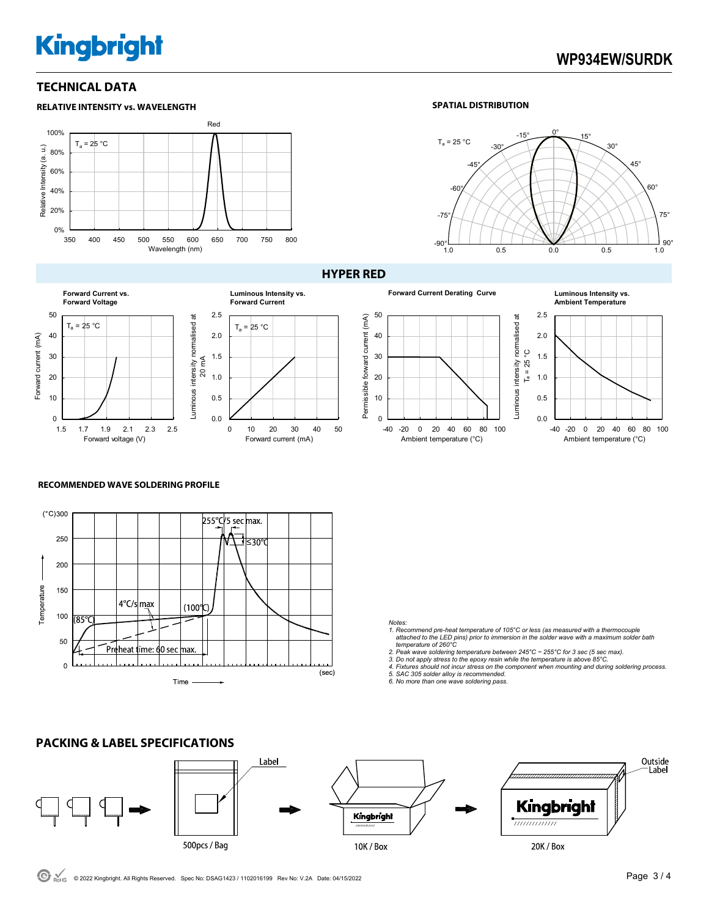# **Kingbright**

# **WP934EW/SURDK**

### **TECHNICAL DATA**







### **HYPER RED**

Permissible forward current (mA)

Permissible forward current (mA)



-40 -20 0 20 40 60 80 100 Ambient temperature (°C)



0.0 0.5

> -40 -20 0 20 40 60 80 100 Ambient temperature (°C)

# **RECOMMENDED WAVE SOLDERING PROFILE**



### *Notes:*

- *1. Recommend pre-heat temperature of 105°C or less (as measured with a thermocouple attached to the LED pins) prior to immersion in the solder wave with a maximum solder bath temperature of 260°C*
- 
- 2. Peak wave soldering temperature between 245°C ~ 255°C for 3 sec (5 sec max).<br>3. Do not apply stress to the epoxy resin while the temperature is above 85°C.<br>4. Fixtures should not incur stress on the component when mount
- *5. SAC 305 solder alloy is recommended. 6. No more than one wave soldering pass.*
- 

### Label Outside Label Kingbright Kingbright <del>,,,,,,,,,,,,,,</del> 500pcs / Bag 10K / Box 20K / Box

## **PACKING & LABEL SPECIFICATIONS**